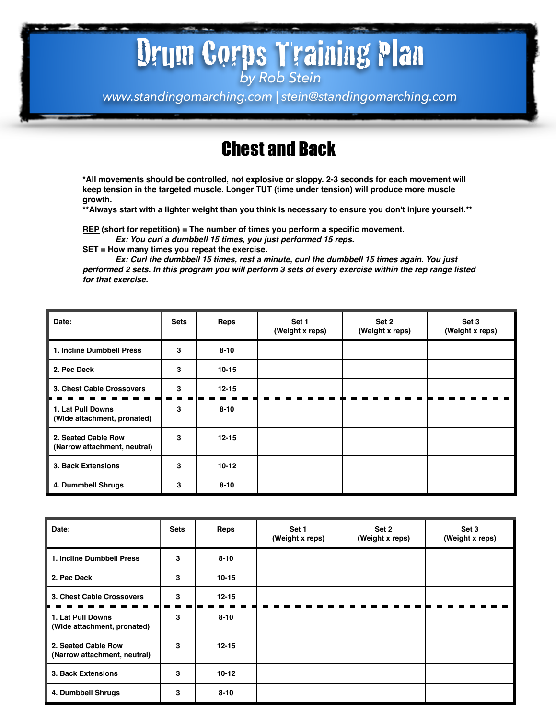# Drum Corps Training Plan

*by Rob Stein*

*[www.standingomarching.com](http://www.standingomarching.com) | stein@standingomarching.com*

### Chest and Back

**\*All movements should be controlled, not explosive or sloppy. 2-3 seconds for each movement will keep tension in the targeted muscle. Longer TUT (time under tension) will produce more muscle growth.** 

**\*\*Always start with a lighter weight than you think is necessary to ensure you don't injure yourself.\*\***

**REP (short for repetition) = The number of times you perform a specific movement.** 

*Ex: You curl a dumbbell 15 times, you just performed 15 reps.*

**SET = How many times you repeat the exercise.**

*Ex: Curl the dumbbell 15 times, rest a minute, curl the dumbbell 15 times again. You just performed 2 sets. In this program you will perform 3 sets of every exercise within the rep range listed for that exercise.*

| Date:                                               | <b>Sets</b> | Reps      | Set 1<br>(Weight x reps) | Set 2<br>(Weight x reps) | Set 3<br>(Weight x reps) |
|-----------------------------------------------------|-------------|-----------|--------------------------|--------------------------|--------------------------|
| 1. Incline Dumbbell Press                           | 3           | $8 - 10$  |                          |                          |                          |
| 2. Pec Deck                                         | 3           | $10 - 15$ |                          |                          |                          |
| 3. Chest Cable Crossovers                           | 3           | $12 - 15$ |                          |                          |                          |
| 1. Lat Pull Downs<br>(Wide attachment, pronated)    | 3           | $8 - 10$  |                          |                          |                          |
| 2. Seated Cable Row<br>(Narrow attachment, neutral) | 3           | $12 - 15$ |                          |                          |                          |
| 3. Back Extensions                                  | 3           | $10-12$   |                          |                          |                          |
| 4. Dummbell Shrugs                                  | 3           | $8 - 10$  |                          |                          |                          |

| Date:                                               | <b>Sets</b> | Reps      | Set 1<br>(Weight x reps) | Set 2<br>(Weight x reps) | Set 3<br>(Weight x reps) |
|-----------------------------------------------------|-------------|-----------|--------------------------|--------------------------|--------------------------|
| 1. Incline Dumbbell Press                           | 3           | $8 - 10$  |                          |                          |                          |
| 2. Pec Deck                                         | 3           | $10 - 15$ |                          |                          |                          |
| 3. Chest Cable Crossovers                           | 3           | $12 - 15$ |                          |                          |                          |
| 1. Lat Pull Downs<br>(Wide attachment, pronated)    | 3           | $8 - 10$  |                          |                          |                          |
| 2. Seated Cable Row<br>(Narrow attachment, neutral) | 3           | $12 - 15$ |                          |                          |                          |
| 3. Back Extensions                                  | 3           | $10 - 12$ |                          |                          |                          |
| 4. Dumbbell Shrugs                                  | 3           | $8 - 10$  |                          |                          |                          |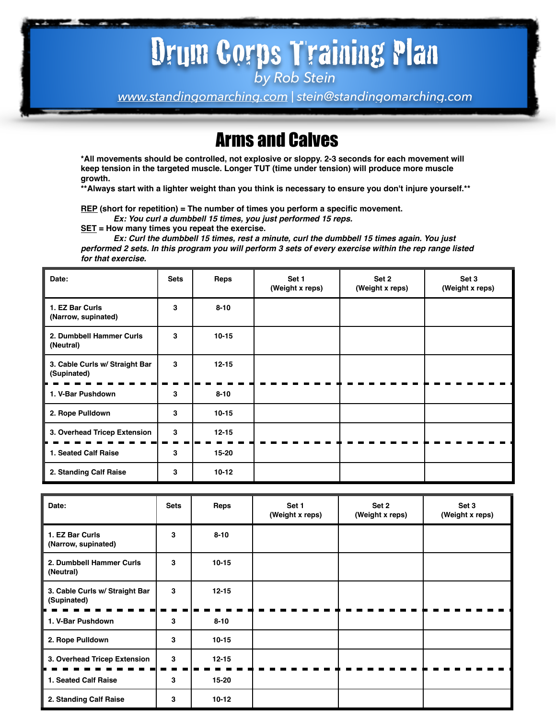### Drum Corps Training Plan *by Rob Stein*

*[www.standingomarching.com](http://www.standingomarching.com) | stein@standingomarching.com*

#### Arms and Calves

**\*All movements should be controlled, not explosive or sloppy. 2-3 seconds for each movement will keep tension in the targeted muscle. Longer TUT (time under tension) will produce more muscle growth.** 

**\*\*Always start with a lighter weight than you think is necessary to ensure you don't injure yourself.\*\***

**REP (short for repetition) = The number of times you perform a specific movement.** 

*Ex: You curl a dumbbell 15 times, you just performed 15 reps.*

**SET = How many times you repeat the exercise.**

*Ex: Curl the dumbbell 15 times, rest a minute, curl the dumbbell 15 times again. You just performed 2 sets. In this program you will perform 3 sets of every exercise within the rep range listed for that exercise.*

| Date:                                         | <b>Sets</b> | Reps      | Set 1<br>(Weight x reps) | Set 2<br>(Weight x reps) | Set 3<br>(Weight x reps) |
|-----------------------------------------------|-------------|-----------|--------------------------|--------------------------|--------------------------|
| 1. EZ Bar Curls<br>(Narrow, supinated)        | 3           | $8 - 10$  |                          |                          |                          |
| 2. Dumbbell Hammer Curls<br>(Neutral)         | 3           | $10 - 15$ |                          |                          |                          |
| 3. Cable Curls w/ Straight Bar<br>(Supinated) | 3           | $12 - 15$ |                          |                          |                          |
| 1. V-Bar Pushdown                             | 3           | $8 - 10$  |                          |                          |                          |
| 2. Rope Pulldown                              | 3           | $10 - 15$ |                          |                          |                          |
| 3. Overhead Tricep Extension                  | 3           | $12 - 15$ |                          |                          |                          |
| 1. Seated Calf Raise                          | 3           | $15 - 20$ |                          |                          |                          |
| 2. Standing Calf Raise                        | 3           | $10 - 12$ |                          |                          |                          |

| Date:                                         | <b>Sets</b> | Reps      | Set 1<br>(Weight x reps) | Set 2<br>(Weight x reps) | Set 3<br>(Weight x reps) |
|-----------------------------------------------|-------------|-----------|--------------------------|--------------------------|--------------------------|
| 1. EZ Bar Curls<br>(Narrow, supinated)        | 3           | $8 - 10$  |                          |                          |                          |
| 2. Dumbbell Hammer Curls<br>(Neutral)         | 3           | $10 - 15$ |                          |                          |                          |
| 3. Cable Curls w/ Straight Bar<br>(Supinated) | 3           | $12 - 15$ |                          |                          |                          |
| 1. V-Bar Pushdown                             | 3           | $8 - 10$  |                          |                          |                          |
| 2. Rope Pulldown                              | 3           | $10 - 15$ |                          |                          |                          |
| 3. Overhead Tricep Extension                  | 3           | $12 - 15$ |                          |                          |                          |
| 1. Seated Calf Raise                          | 3           | $15 - 20$ |                          |                          |                          |
| 2. Standing Calf Raise                        | 3           | $10-12$   |                          |                          |                          |